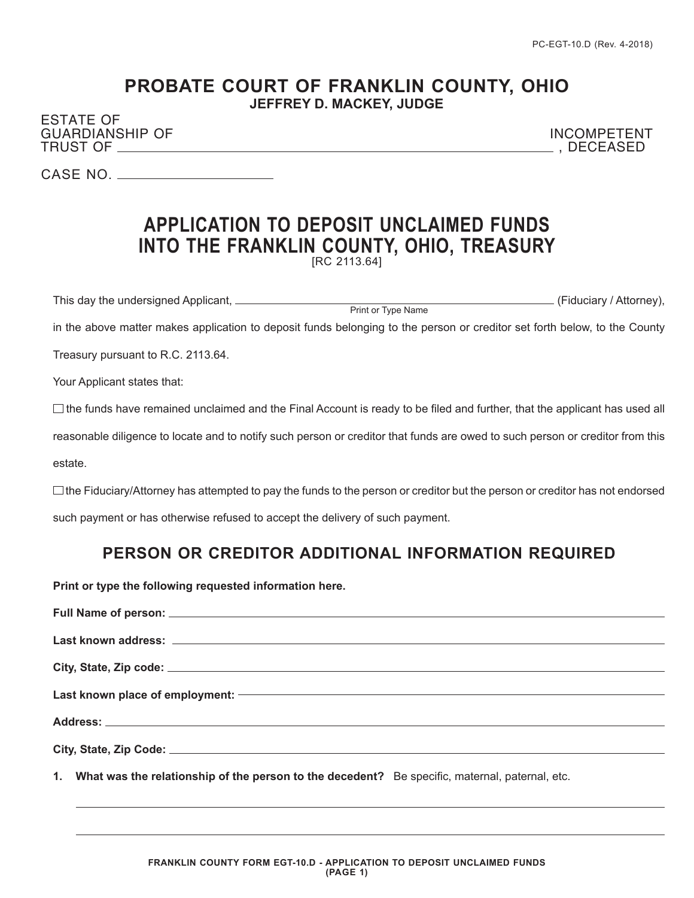## **PROBATE COURT OF FRANKLIN COUNTY, OHIO JEFFREY D. MACKEY, JUDGE**

ESTATE OF GUARDIANSHIP OF INCOMPETENT TRUST OF , DECEASED

CASE NO.

## **APPLICATION TO DEPOSIT UNCLAIMED FUNDS INTO THE FRANKLIN COUNTY, OHIO, TREASURY** [RC 2113.64]

This day the undersigned Applicant, (Fiduciary / Attorney), Print or Type Name

in the above matter makes application to deposit funds belonging to the person or creditor set forth below, to the County

Treasury pursuant to R.C. 2113.64.

Your Applicant states that:

 $\Box$  the funds have remained unclaimed and the Final Account is ready to be filed and further, that the applicant has used all

reasonable diligence to locate and to notify such person or creditor that funds are owed to such person or creditor from this

estate.

 $\Box$  the Fiduciary/Attorney has attempted to pay the funds to the person or creditor but the person or creditor has not endorsed such payment or has otherwise refused to accept the delivery of such payment.

## **PERSON OR CREDITOR ADDITIONAL INFORMATION REQUIRED**

**Print or type the following requested information here.**

**1. What was the relationship of the person to the decedent?** Be specific, maternal, paternal, etc.